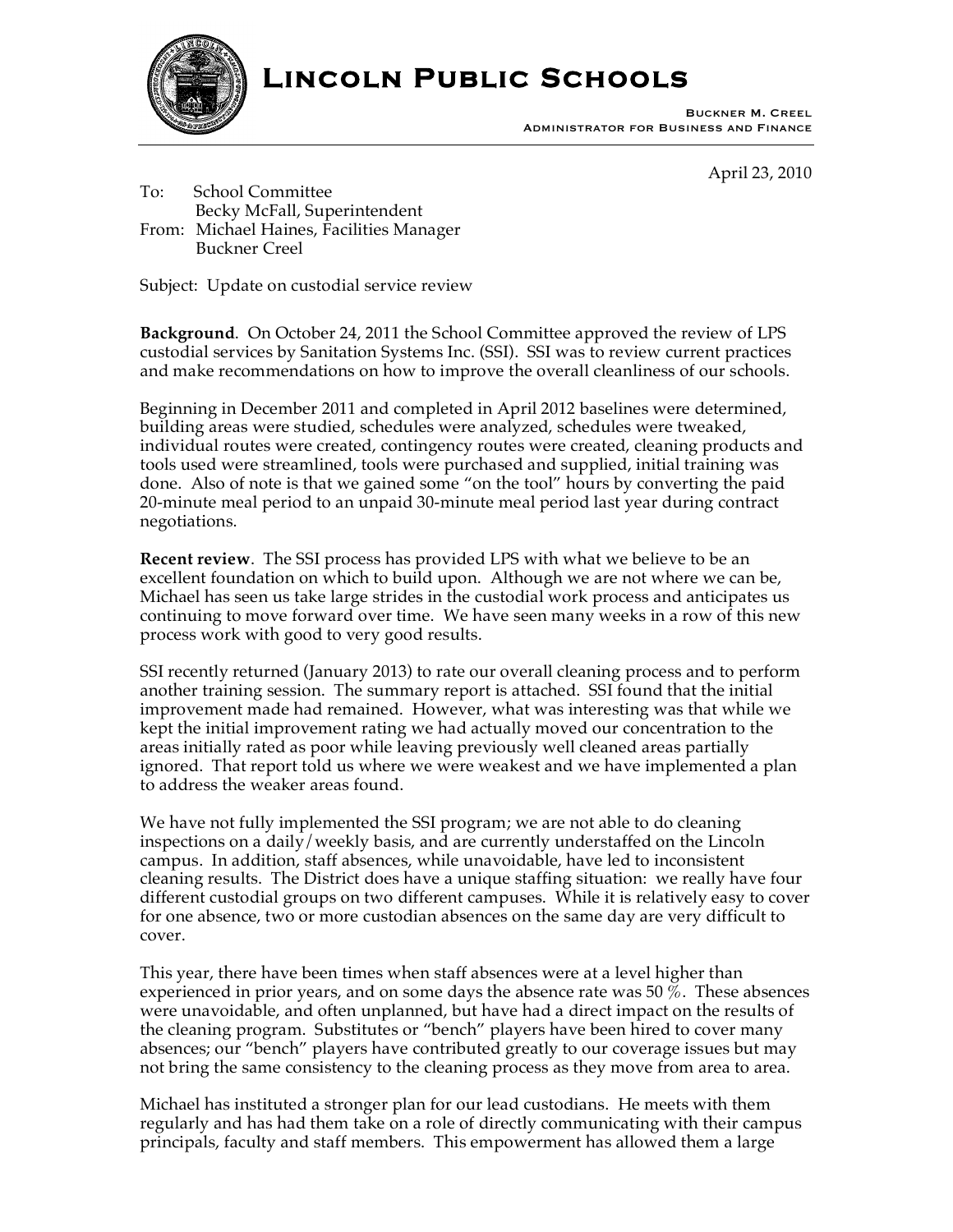

# **Lincoln Public Schools**

Buckner M. Creel Administrator for Business and Finance

April 23, 2010

To: School Committee Becky McFall, Superintendent From: Michael Haines, Facilities Manager Buckner Creel

Subject: Update on custodial service review

**Background**. On October 24, 2011 the School Committee approved the review of LPS custodial services by Sanitation Systems Inc. (SSI). SSI was to review current practices and make recommendations on how to improve the overall cleanliness of our schools.

Beginning in December 2011 and completed in April 2012 baselines were determined, building areas were studied, schedules were analyzed, schedules were tweaked, individual routes were created, contingency routes were created, cleaning products and tools used were streamlined, tools were purchased and supplied, initial training was done. Also of note is that we gained some "on the tool" hours by converting the paid 20-minute meal period to an unpaid 30-minute meal period last year during contract negotiations.

**Recent review**. The SSI process has provided LPS with what we believe to be an excellent foundation on which to build upon. Although we are not where we can be, Michael has seen us take large strides in the custodial work process and anticipates us continuing to move forward over time. We have seen many weeks in a row of this new process work with good to very good results.

SSI recently returned (January 2013) to rate our overall cleaning process and to perform another training session. The summary report is attached. SSI found that the initial improvement made had remained. However, what was interesting was that while we kept the initial improvement rating we had actually moved our concentration to the areas initially rated as poor while leaving previously well cleaned areas partially ignored. That report told us where we were weakest and we have implemented a plan to address the weaker areas found.

We have not fully implemented the SSI program; we are not able to do cleaning inspections on a daily/weekly basis, and are currently understaffed on the Lincoln campus. In addition, staff absences, while unavoidable, have led to inconsistent cleaning results. The District does have a unique staffing situation: we really have four different custodial groups on two different campuses. While it is relatively easy to cover for one absence, two or more custodian absences on the same day are very difficult to cover.

This year, there have been times when staff absences were at a level higher than experienced in prior years, and on some days the absence rate was 50 %. These absences were unavoidable, and often unplanned, but have had a direct impact on the results of the cleaning program. Substitutes or "bench" players have been hired to cover many absences; our "bench" players have contributed greatly to our coverage issues but may not bring the same consistency to the cleaning process as they move from area to area.

Michael has instituted a stronger plan for our lead custodians. He meets with them regularly and has had them take on a role of directly communicating with their campus principals, faculty and staff members. This empowerment has allowed them a large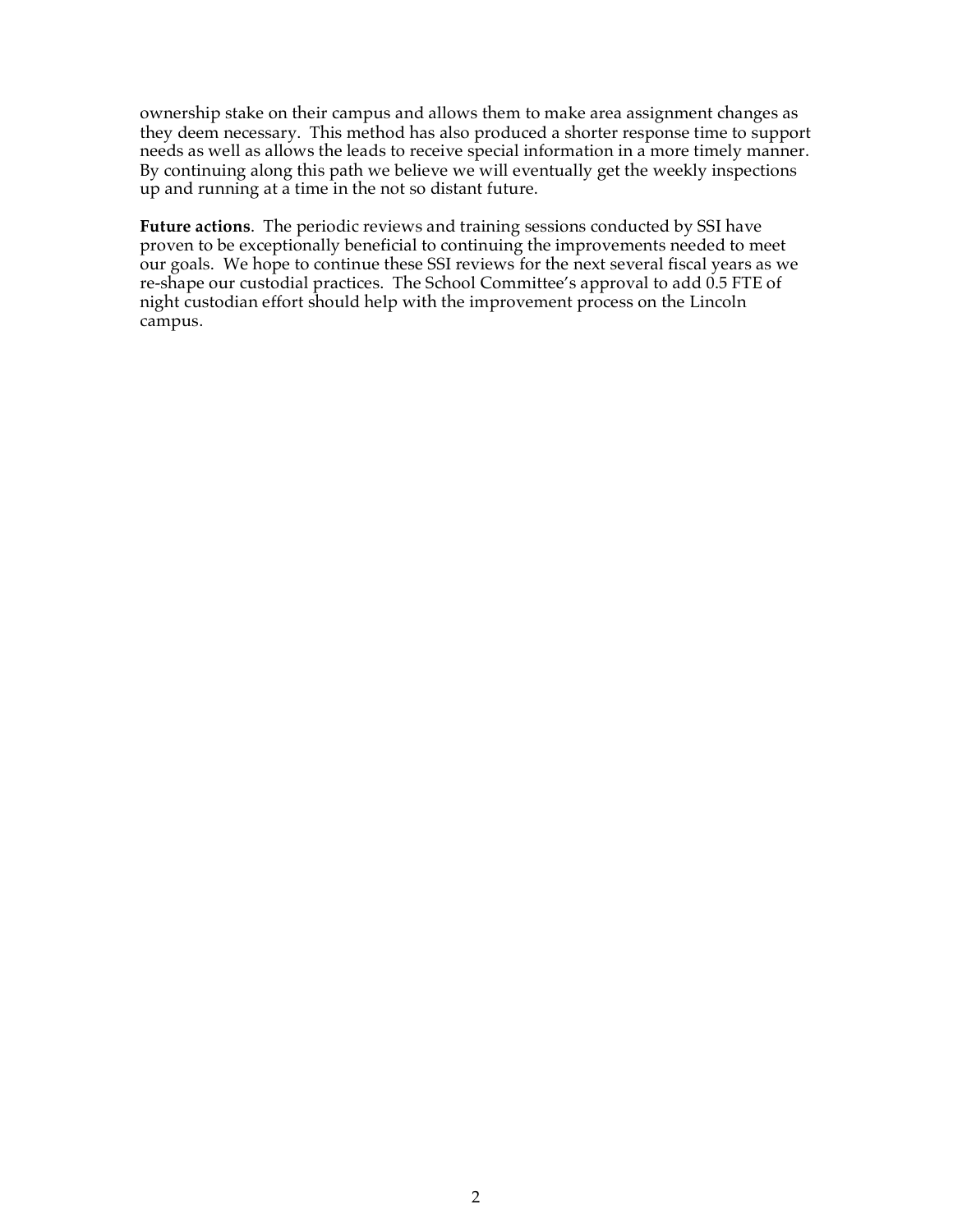ownership stake on their campus and allows them to make area assignment changes as they deem necessary. This method has also produced a shorter response time to support needs as well as allows the leads to receive special information in a more timely manner. By continuing along this path we believe we will eventually get the weekly inspections up and running at a time in the not so distant future.

**Future actions**. The periodic reviews and training sessions conducted by SSI have proven to be exceptionally beneficial to continuing the improvements needed to meet our goals. We hope to continue these SSI reviews for the next several fiscal years as we re-shape our custodial practices. The School Committee's approval to add 0.5 FTE of night custodian effort should help with the improvement process on the Lincoln campus.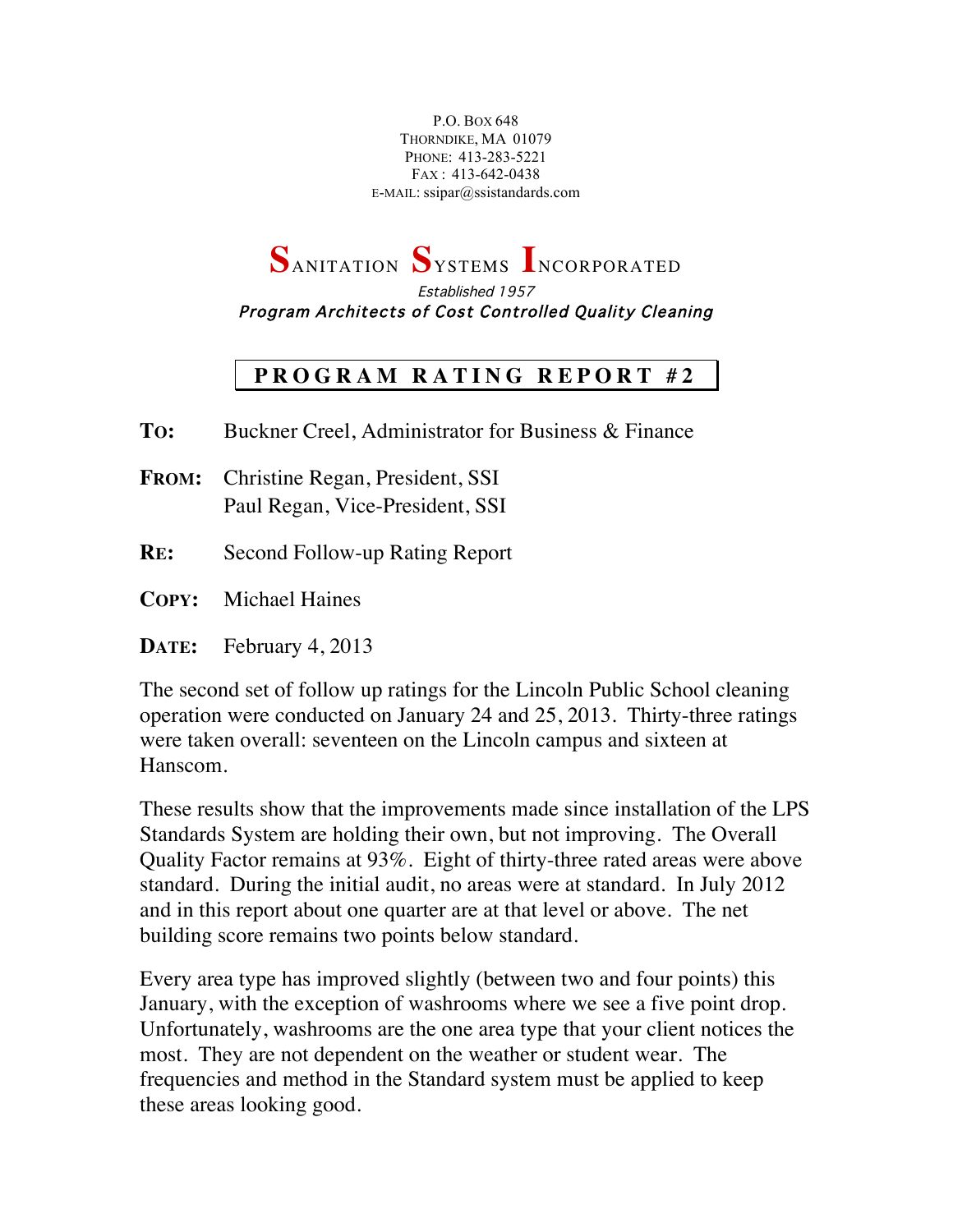P.O. BOX 648 THORNDIKE, MA 01079 PHONE: 413-283-5221 FAX : 413-642-0438 E-MAIL: ssipar@ssistandards.com

**S**ANITATION **S**YSTEMS **I**NCORPORATED

Established 1957 Program Architects of Cost Controlled Quality Cleaning

## **PROGRAM RATING REPOR T # 2**

**TO:** Buckner Creel, Administrator for Business & Finance

**FROM:** Christine Regan, President, SSI Paul Regan, Vice-President, SSI

- **RE:** Second Follow-up Rating Report
- **COPY:** Michael Haines

**DATE:** February 4, 2013

The second set of follow up ratings for the Lincoln Public School cleaning operation were conducted on January 24 and 25, 2013. Thirty-three ratings were taken overall: seventeen on the Lincoln campus and sixteen at Hanscom.

These results show that the improvements made since installation of the LPS Standards System are holding their own, but not improving. The Overall Quality Factor remains at 93%. Eight of thirty-three rated areas were above standard. During the initial audit, no areas were at standard. In July 2012 and in this report about one quarter are at that level or above. The net building score remains two points below standard.

Every area type has improved slightly (between two and four points) this January, with the exception of washrooms where we see a five point drop. Unfortunately, washrooms are the one area type that your client notices the most. They are not dependent on the weather or student wear. The frequencies and method in the Standard system must be applied to keep these areas looking good.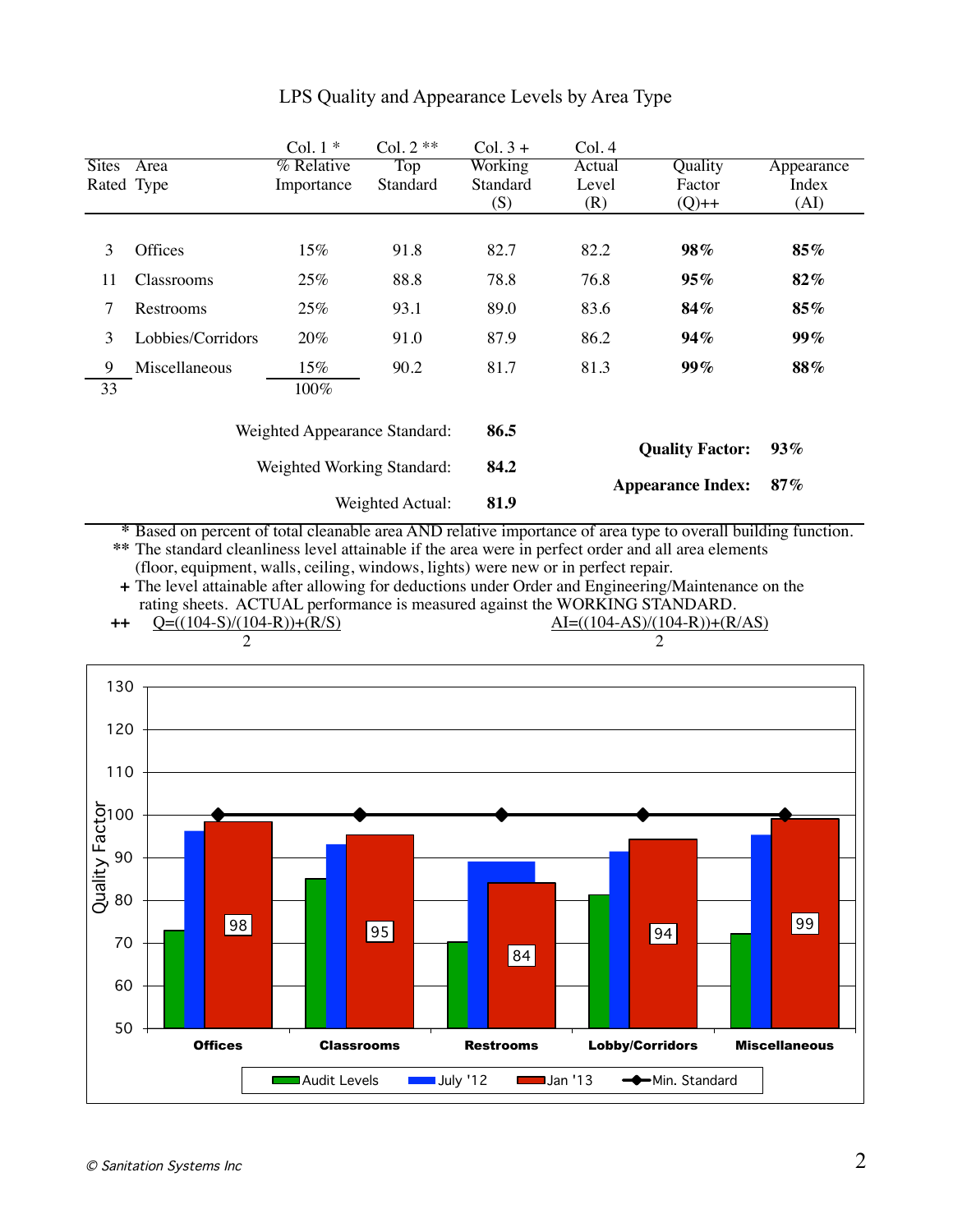| Sites Area<br>Rated Type              |                            | % Relative<br>Importance | Top<br>Standard  | Working<br>Standard<br>(S) | Actual<br>Level<br>(R) | Quality<br>Factor<br>$(Q)$ ++ | Appearance<br>Index<br>(AI) |  |  |  |
|---------------------------------------|----------------------------|--------------------------|------------------|----------------------------|------------------------|-------------------------------|-----------------------------|--|--|--|
|                                       |                            |                          |                  |                            |                        |                               |                             |  |  |  |
| 3                                     | Offices                    | 15%                      | 91.8             | 82.7                       | 82.2                   | 98%                           | 85%                         |  |  |  |
| 11                                    | Classrooms                 | 25%                      | 88.8             | 78.8                       | 76.8                   | 95%                           | 82%                         |  |  |  |
| 7                                     | Restrooms                  | 25%                      | 93.1             | 89.0                       | 83.6                   | 84%                           | 85%                         |  |  |  |
| 3                                     | Lobbies/Corridors          | 20%                      | 91.0             | 87.9                       | 86.2                   | 94%                           | 99%                         |  |  |  |
| 9<br>33                               | Miscellaneous              | 15%<br>100%              | 90.2             | 81.7                       | 81.3                   | 99%                           | 88%                         |  |  |  |
| 86.5<br>Weighted Appearance Standard: |                            |                          |                  |                            |                        |                               |                             |  |  |  |
|                                       | Weighted Working Standard: |                          |                  | 84.2                       |                        | <b>Quality Factor:</b>        | 93%                         |  |  |  |
|                                       |                            |                          | Weighted Actual: | 81.9                       |                        | <b>Appearance Index:</b>      | 87%                         |  |  |  |
| 130<br>120                            | 2                          |                          |                  |                            |                        | 2                             |                             |  |  |  |
| 110                                   |                            |                          |                  |                            |                        |                               |                             |  |  |  |
| Facto                                 |                            |                          |                  |                            |                        |                               |                             |  |  |  |
| 90                                    |                            |                          |                  |                            |                        |                               |                             |  |  |  |
| $Q$ uality<br>$\frac{80}{90}$         |                            |                          |                  |                            |                        |                               | 99                          |  |  |  |
| 70                                    | 98                         |                          | 95               | 84                         |                        | 94                            |                             |  |  |  |
| 60                                    |                            |                          |                  |                            |                        |                               |                             |  |  |  |
| 50                                    | <b>Offices</b>             | <b>Classrooms</b>        |                  | <b>Restrooms</b>           |                        | <b>Lobby/Corridors</b>        | <b>Miscellaneous</b>        |  |  |  |
|                                       |                            | Audit Levels             | $\Box$ July '12  |                            | Jan '13                | -Min. Standard                |                             |  |  |  |
|                                       |                            |                          |                  |                            |                        |                               |                             |  |  |  |

# LPS Quality and Appearance Levels by Area Type

Col.  $1 *$  Col.  $2 **$  Col.  $3 +$  Col. 4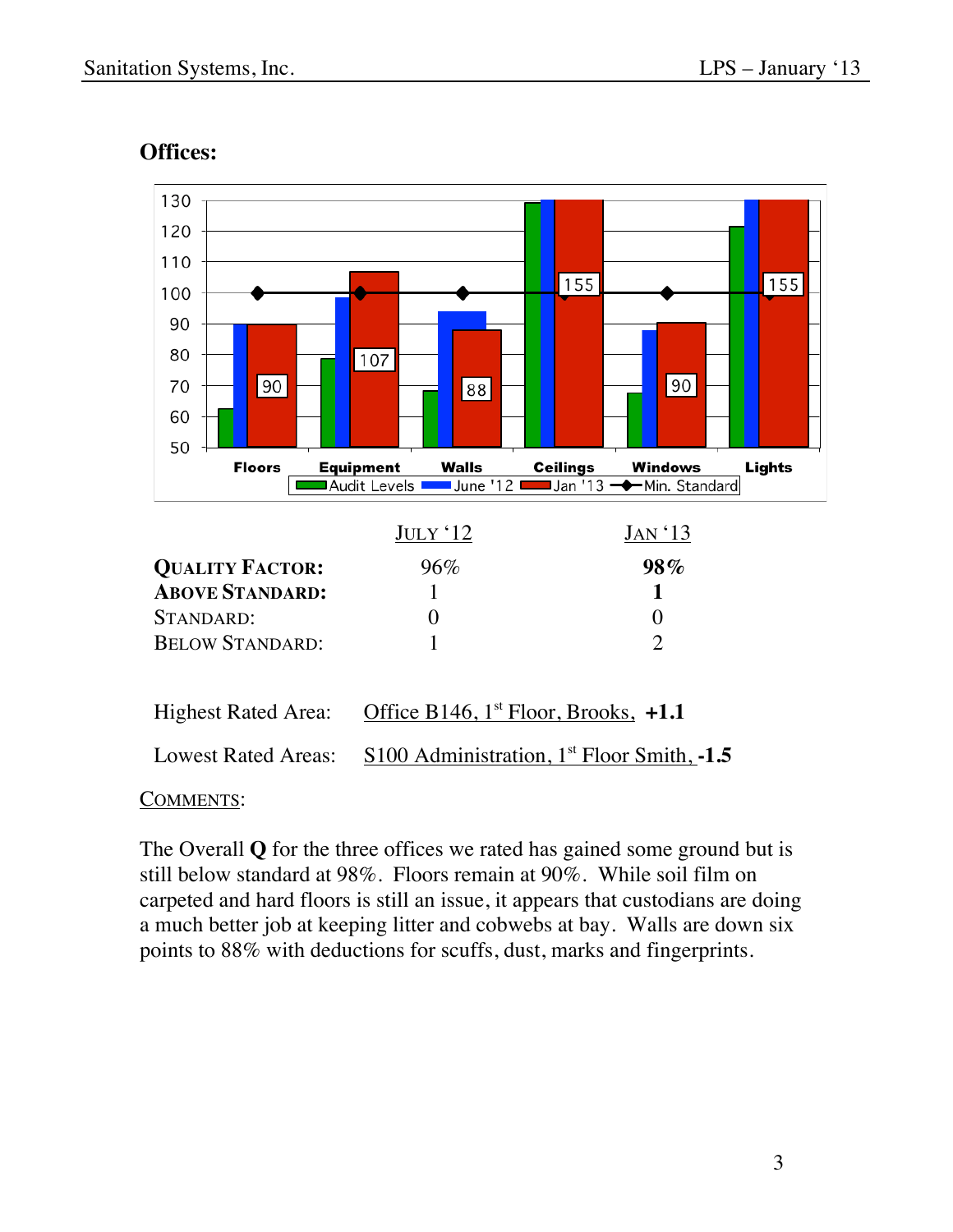

# **Offices:**

#### COMMENTS:

The Overall **Q** for the three offices we rated has gained some ground but is still below standard at 98%. Floors remain at 90%. While soil film on carpeted and hard floors is still an issue, it appears that custodians are doing a much better job at keeping litter and cobwebs at bay. Walls are down six points to 88% with deductions for scuffs, dust, marks and fingerprints.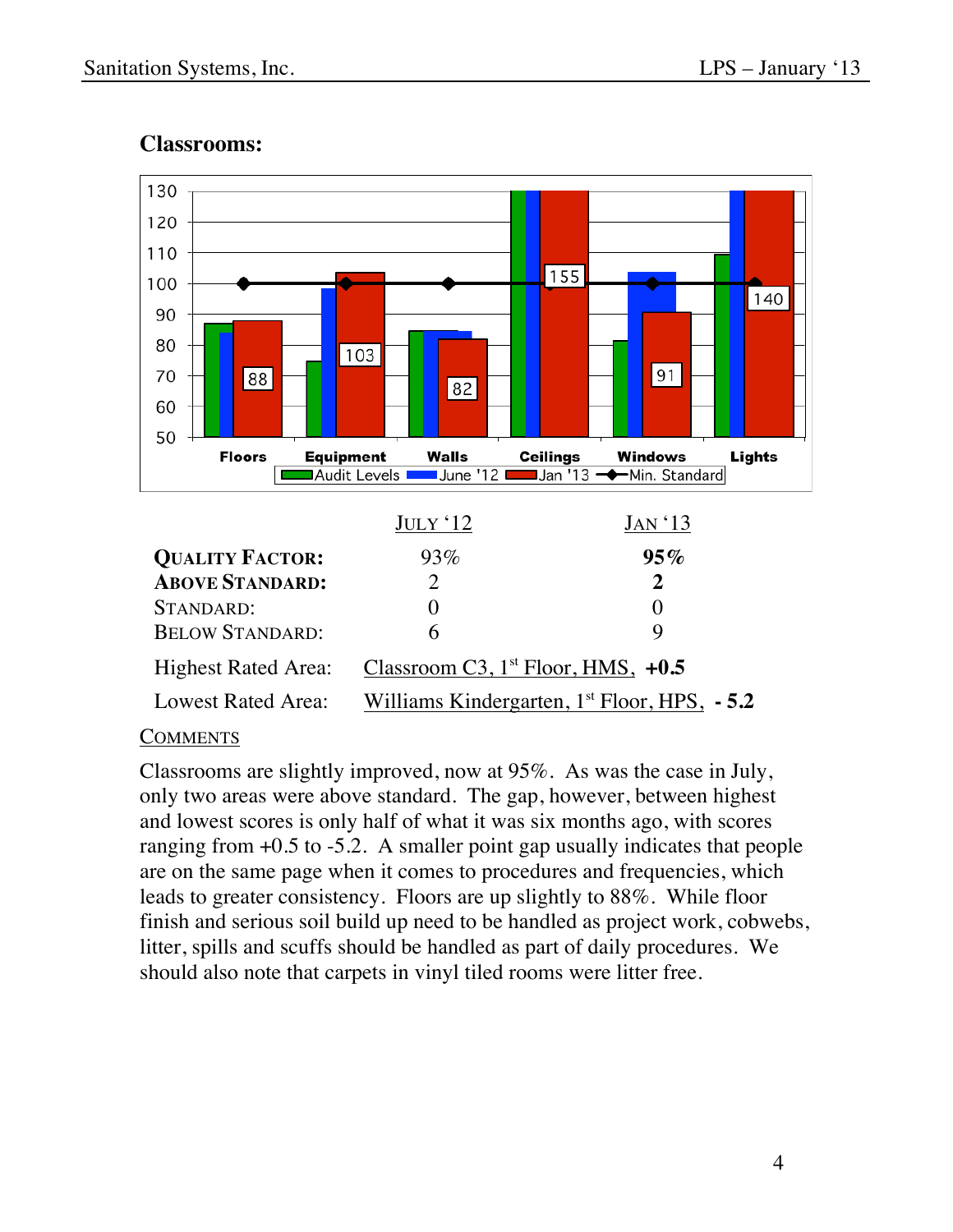

### **Classrooms:**

### **COMMENTS**

Classrooms are slightly improved, now at 95%. As was the case in July, only two areas were above standard. The gap, however, between highest and lowest scores is only half of what it was six months ago, with scores ranging from  $+0.5$  to  $-5.2$ . A smaller point gap usually indicates that people are on the same page when it comes to procedures and frequencies, which leads to greater consistency. Floors are up slightly to 88%. While floor finish and serious soil build up need to be handled as project work, cobwebs, litter, spills and scuffs should be handled as part of daily procedures. We should also note that carpets in vinyl tiled rooms were litter free.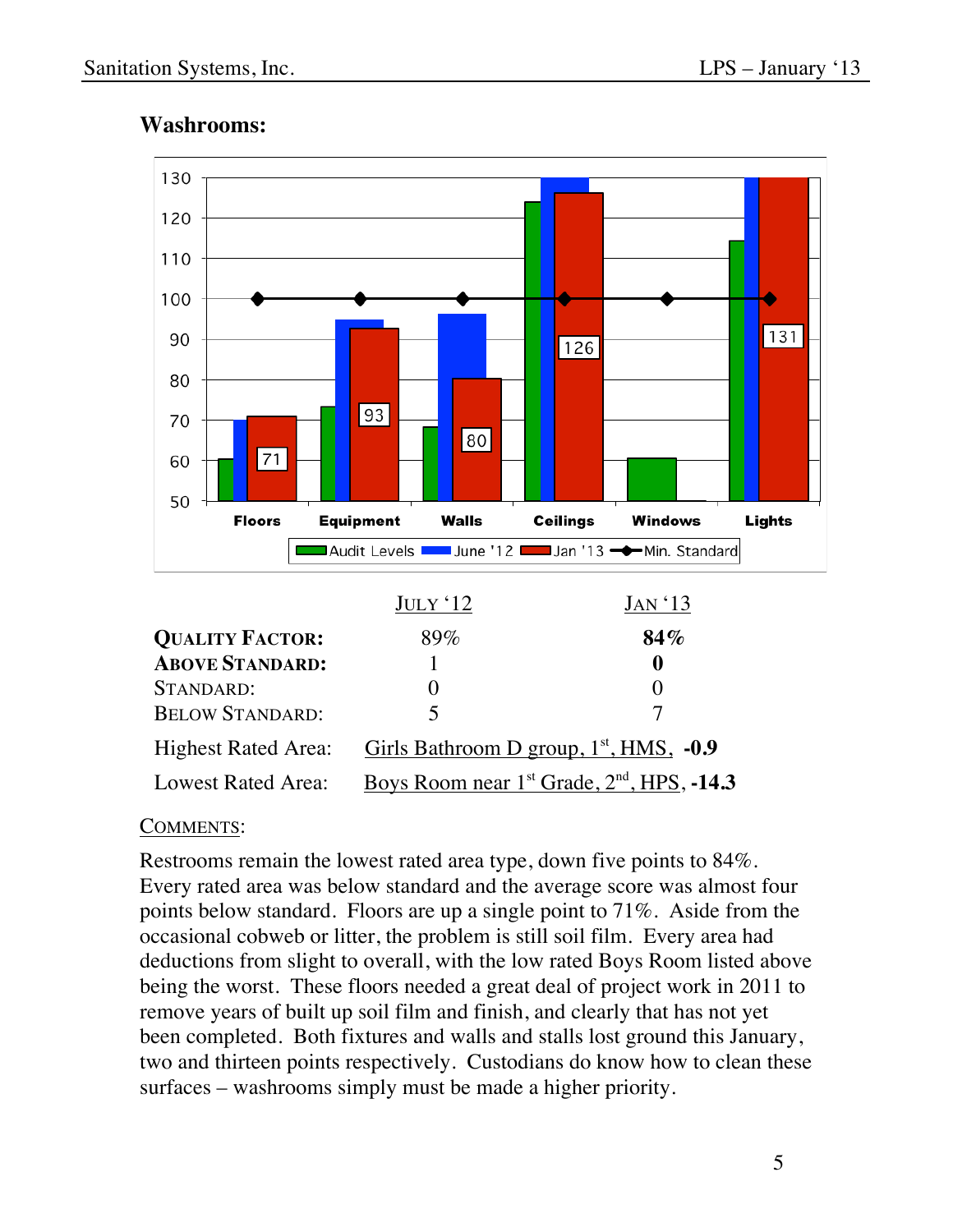

## **Washrooms:**

#### COMMENTS:

Restrooms remain the lowest rated area type, down five points to 84%. Every rated area was below standard and the average score was almost four points below standard. Floors are up a single point to 71%. Aside from the occasional cobweb or litter, the problem is still soil film. Every area had deductions from slight to overall, with the low rated Boys Room listed above being the worst. These floors needed a great deal of project work in 2011 to remove years of built up soil film and finish, and clearly that has not yet been completed. Both fixtures and walls and stalls lost ground this January, two and thirteen points respectively. Custodians do know how to clean these surfaces – washrooms simply must be made a higher priority.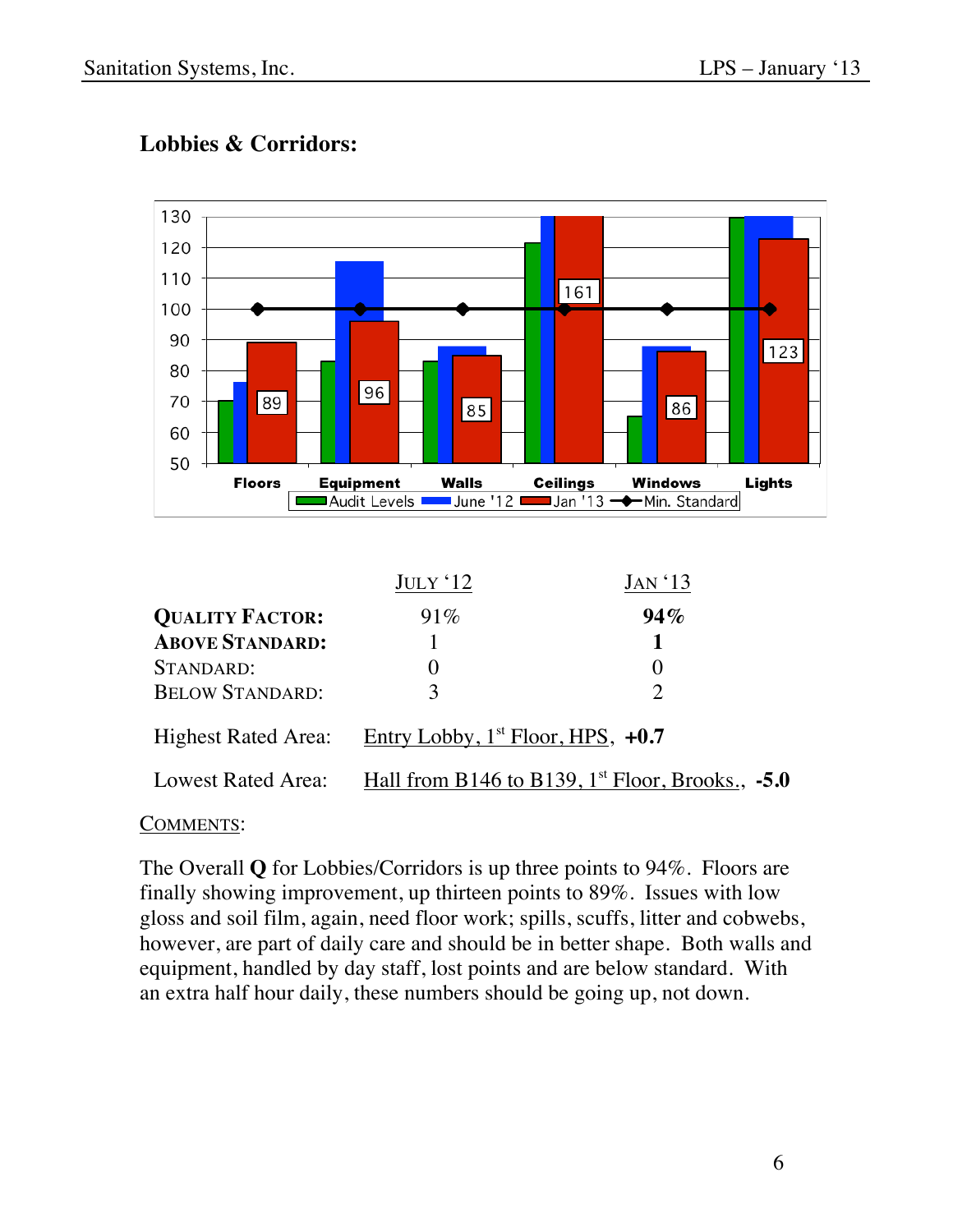

## **Lobbies & Corridors:**

|                            | $JULY$ ' $12$                            | JAN '13                                              |
|----------------------------|------------------------------------------|------------------------------------------------------|
| <b>QUALITY FACTOR:</b>     | 91%                                      | 94%                                                  |
| <b>ABOVE STANDARD:</b>     |                                          |                                                      |
| STANDARD:                  |                                          |                                                      |
| <b>BELOW STANDARD:</b>     | 3                                        | $\mathcal{D}_{\cdot}$                                |
| <b>Highest Rated Area:</b> | Entry Lobby, $1^{st}$ Floor, HPS, $+0.7$ |                                                      |
| Lowest Rated Area:         |                                          | Hall from B146 to B139, $1st$ Floor, Brooks., $-5.0$ |

#### COMMENTS:

The Overall **Q** for Lobbies/Corridors is up three points to 94%. Floors are finally showing improvement, up thirteen points to 89%. Issues with low gloss and soil film, again, need floor work; spills, scuffs, litter and cobwebs, however, are part of daily care and should be in better shape. Both walls and equipment, handled by day staff, lost points and are below standard. With an extra half hour daily, these numbers should be going up, not down.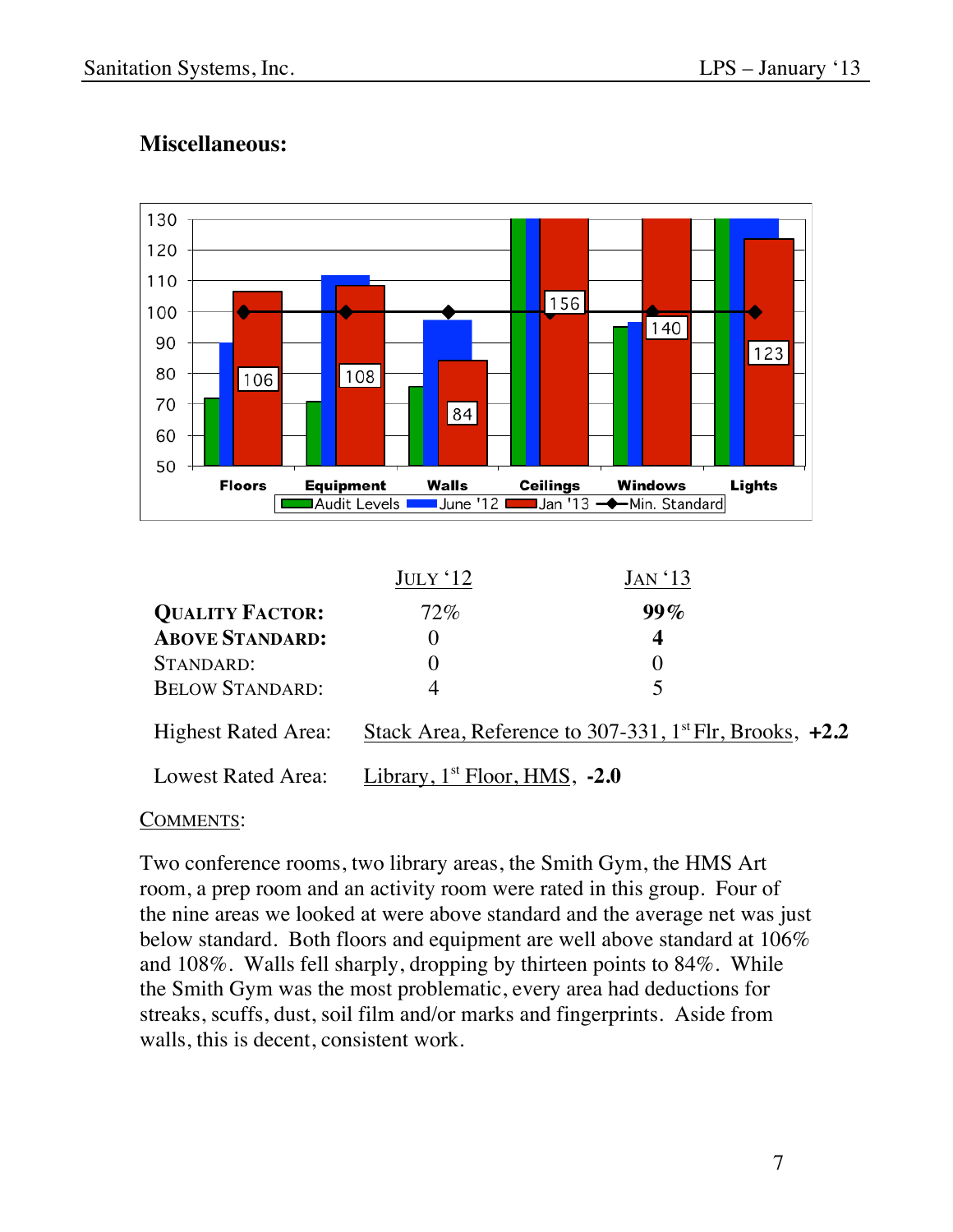

## **Miscellaneous:**

| <b>BELOW STANDARD:</b> | $\overline{\phantom{a}}$          |                                                                       |  |
|------------------------|-----------------------------------|-----------------------------------------------------------------------|--|
| Highest Rated Area:    |                                   | Stack Area, Reference to 307-331, $1^{\text{st}}$ Flr, Brooks, $+2.2$ |  |
| Lowest Rated Area:     | Library, $1st$ Floor, HMS, $-2.0$ |                                                                       |  |

### COMMENTS:

Two conference rooms, two library areas, the Smith Gym, the HMS Art room, a prep room and an activity room were rated in this group. Four of the nine areas we looked at were above standard and the average net was just below standard. Both floors and equipment are well above standard at 106% and 108%. Walls fell sharply, dropping by thirteen points to 84%. While the Smith Gym was the most problematic, every area had deductions for streaks, scuffs, dust, soil film and/or marks and fingerprints. Aside from walls, this is decent, consistent work.